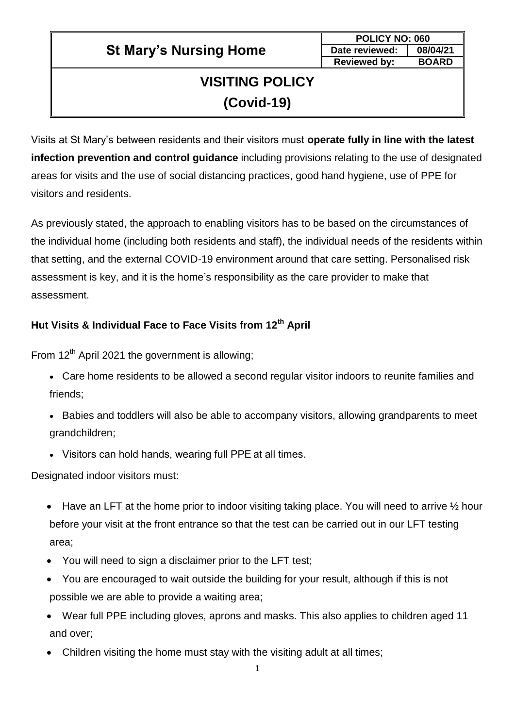| POLICY NO: 060      |              |
|---------------------|--------------|
| Date reviewed:      | 08/04/21     |
| <b>Reviewed by:</b> | <b>BOARD</b> |

# **VISITING POLICY (Covid-19)**

Visits at St Mary's between residents and their visitors must **operate fully in line with the latest infection prevention and control guidance** including provisions relating to the use of designated areas for visits and the use of social distancing practices, good hand hygiene, use of PPE for visitors and residents.

As previously stated, the approach to enabling visitors has to be based on the circumstances of the individual home (including both residents and staff), the individual needs of the residents within that setting, and the external COVID-19 environment around that care setting. Personalised risk assessment is key, and it is the home's responsibility as the care provider to make that assessment.

## **Hut Visits & Individual Face to Face Visits from 12th April**

From  $12<sup>th</sup>$  April 2021 the government is allowing:

- Care home residents to be allowed a second regular visitor indoors to reunite families and friends;
- Babies and toddlers will also be able to accompany visitors, allowing grandparents to meet grandchildren;
- Visitors can hold hands, wearing full PPE at all times.

Designated indoor visitors must:

- Have an LFT at the home prior to indoor visiting taking place. You will need to arrive 1/2 hour before your visit at the front entrance so that the test can be carried out in our LFT testing area;
- You will need to sign a disclaimer prior to the LFT test;
- You are encouraged to wait outside the building for your result, although if this is not possible we are able to provide a waiting area;
- Wear full PPE including gloves, aprons and masks. This also applies to children aged 11 and over;
- Children visiting the home must stay with the visiting adult at all times;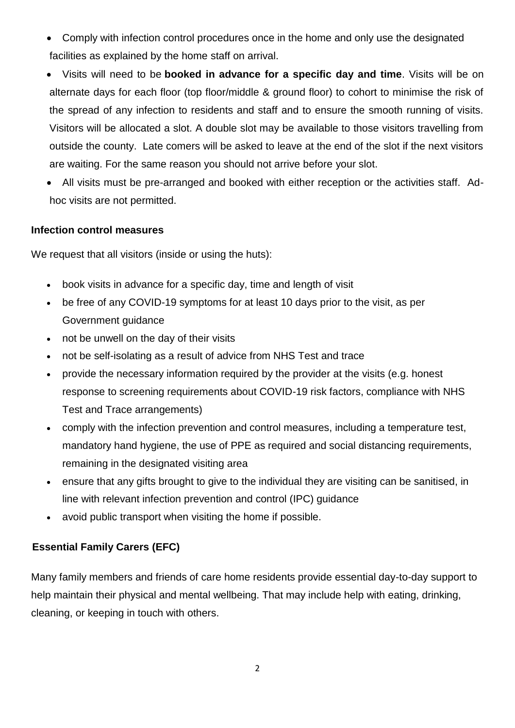- Comply with infection control procedures once in the home and only use the designated facilities as explained by the home staff on arrival.
- Visits will need to be **booked in advance for a specific day and time**. Visits will be on alternate days for each floor (top floor/middle & ground floor) to cohort to minimise the risk of the spread of any infection to residents and staff and to ensure the smooth running of visits. Visitors will be allocated a slot. A double slot may be available to those visitors travelling from outside the county. Late comers will be asked to leave at the end of the slot if the next visitors are waiting. For the same reason you should not arrive before your slot.
- All visits must be pre-arranged and booked with either reception or the activities staff. Adhoc visits are not permitted.

#### **Infection control measures**

We request that all visitors (inside or using the huts):

- book visits in advance for a specific day, time and length of visit
- be free of any COVID-19 symptoms for at least 10 days prior to the visit, as per Government guidance
- not be unwell on the day of their visits
- not be self-isolating as a result of advice from NHS Test and trace
- provide the necessary information required by the provider at the visits (e.g. honest response to screening requirements about COVID-19 risk factors, compliance with NHS Test and Trace arrangements)
- comply with the infection prevention and control measures, including a temperature test, mandatory hand hygiene, the use of PPE as required and social distancing requirements, remaining in the designated visiting area
- ensure that any gifts brought to give to the individual they are visiting can be sanitised, in line with relevant infection prevention and control (IPC) guidance
- avoid public transport when visiting the home if possible.

#### **Essential Family Carers (EFC)**

Many family members and friends of care home residents provide essential day-to-day support to help maintain their physical and mental wellbeing. That may include help with eating, drinking, cleaning, or keeping in touch with others.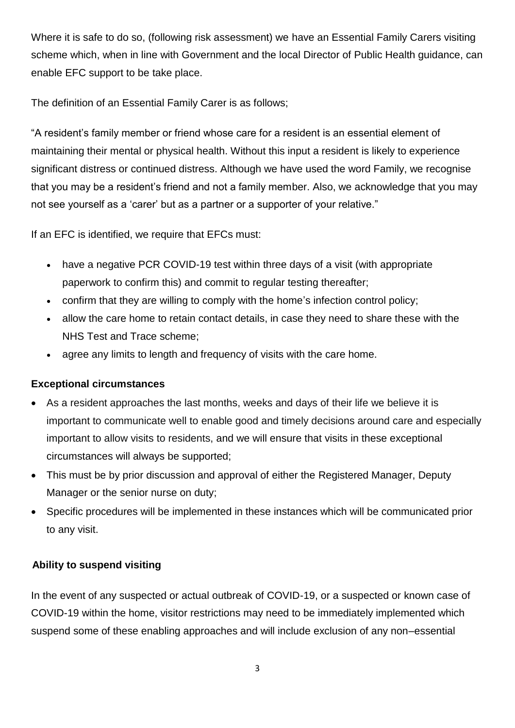Where it is safe to do so, (following risk assessment) we have an Essential Family Carers visiting scheme which, when in line with Government and the local Director of Public Health guidance, can enable EFC support to be take place.

The definition of an Essential Family Carer is as follows;

"A resident's family member or friend whose care for a resident is an essential element of maintaining their mental or physical health. Without this input a resident is likely to experience significant distress or continued distress. Although we have used the word Family, we recognise that you may be a resident's friend and not a family member. Also, we acknowledge that you may not see yourself as a 'carer' but as a partner or a supporter of your relative."

If an EFC is identified, we require that EFCs must:

- have a negative PCR COVID-19 test within three days of a visit (with appropriate paperwork to confirm this) and commit to regular testing thereafter;
- confirm that they are willing to comply with the home's infection control policy;
- allow the care home to retain contact details, in case they need to share these with the NHS Test and Trace scheme;
- agree any limits to length and frequency of visits with the care home.

#### **Exceptional circumstances**

- As a resident approaches the last months, weeks and days of their life we believe it is important to communicate well to enable good and timely decisions around care and especially important to allow visits to residents, and we will ensure that visits in these exceptional circumstances will always be supported;
- This must be by prior discussion and approval of either the Registered Manager, Deputy Manager or the senior nurse on duty;
- Specific procedures will be implemented in these instances which will be communicated prior to any visit.

### **Ability to suspend visiting**

In the event of any suspected or actual outbreak of COVID-19, or a suspected or known case of COVID-19 within the home, visitor restrictions may need to be immediately implemented which suspend some of these enabling approaches and will include exclusion of any non–essential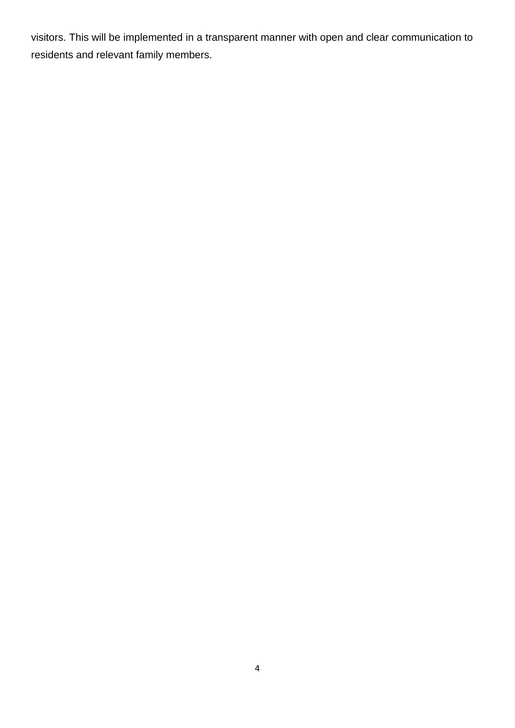visitors. This will be implemented in a transparent manner with open and clear communication to residents and relevant family members.